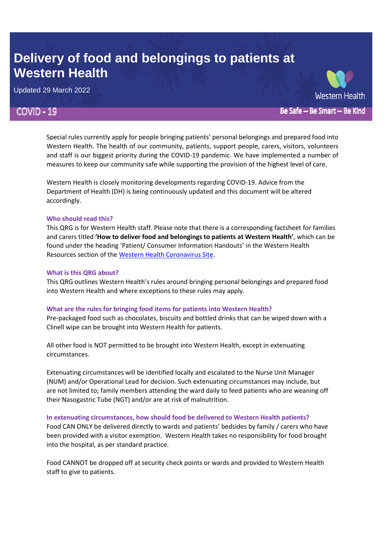# **Delivery of food and belongings to patients at Western Health**

Updated 29 March 2022

# **COVID - 19**

Special rules currently apply for people bringing patients' personal belongings and prepared food into Western Health. The health of our community, patients, support people, carers, visitors, volunteers and staff is our biggest priority during the COVID-19 pandemic. We have implemented a number of

Be Safe - Be Smart - Be Kind

Western Health is closely monitoring developments regarding COVID-19. Advice from the Department of Health (DH) is being continuously updated and this document will be altered accordingly.

measures to keep our community safe while supporting the provision of the highest level of care.

# **Who should read this?**

This QRG is for Western Health staff. Please note that there is a corresponding factsheet for families and carers titled **'How to deliver food and belongings to patients at Western Health'**, which can be found under the heading 'Patient/ Consumer Information Handouts' in the Western Health Resources section of the [Western Health Coronavirus Site.](https://coronavirus.wh.org.au/important-resources-links/western-health-resources/)

# **What is this QRG about?**

This QRG outlines Western Health's rules around bringing personal belongings and prepared food into Western Health and where exceptions to these rules may apply.

# **What are the rules for bringing food items for patients into Western Health?**

Pre-packaged food such as chocolates, biscuits and bottled drinks that can be wiped down with a Clinell wipe can be brought into Western Health for patients.

All other food is NOT permitted to be brought into Western Health, except in extenuating circumstances.

Extenuating circumstances will be identified locally and escalated to the Nurse Unit Manager (NUM) and/or Operational Lead for decision. Such extenuating circumstances may include, but are not limited to; family members attending the ward daily to feed patients who are weaning off their Nasogastric Tube (NGT) and/or are at risk of malnutrition.

# **In extenuating circumstances, how should food be delivered to Western Health patients?**

Food CAN ONLY be delivered directly to wards and patients' bedsides by family / carers who have been provided with a visitor exemption. Western Health takes no responsibility for food brought into the hospital, as per standard practice.

Food CANNOT be dropped off at security check points or wards and provided to Western Health staff to give to patients.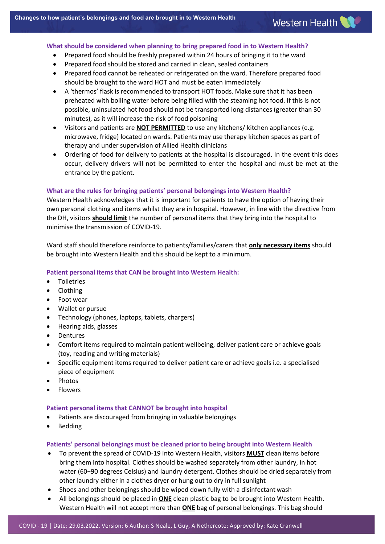#### **What should be considered when planning to bring prepared food in to Western Health?**

- Prepared food should be freshly prepared within 24 hours of bringing it to the ward
- Prepared food should be stored and carried in clean, sealed containers
- Prepared food cannot be reheated or refrigerated on the ward. Therefore prepared food should be brought to the ward HOT and must be eaten immediately
- A 'thermos' flask is recommended to transport HOT foods. Make sure that it has been preheated with boiling water before being filled with the steaming hot food. If this is not possible, uninsulated hot food should not be transported long distances (greater than 30 minutes), as it will increase the risk of food poisoning
- Visitors and patients are **NOT PERMITTED** to use any kitchens/ kitchen appliances (e.g. microwave, fridge) located on wards. Patients may use therapy kitchen spaces as part of therapy and under supervision of Allied Health clinicians
- Ordering of food for delivery to patients at the hospital is discouraged. In the event this does occur, delivery drivers will not be permitted to enter the hospital and must be met at the entrance by the patient.

# **What are the rules for bringing patients' personal belongings into Western Health?**

Western Health acknowledges that it is important for patients to have the option of having their own personal clothing and items whilst they are in hospital. However, in line with the directive from the DH, visitors **should limit** the number of personal items that they bring into the hospital to minimise the transmission of COVID-19.

Ward staff should therefore reinforce to patients/families/carers that **only necessary items** should be brought into Western Health and this should be kept to a minimum.

#### **Patient personal items that CAN be brought into Western Health:**

- **•** Toiletries
- Clothing
- Foot wear
- Wallet or pursue
- Technology (phones, laptops, tablets, chargers)
- Hearing aids, glasses
- Dentures
- Comfort items required to maintain patient wellbeing, deliver patient care or achieve goals (toy, reading and writing materials)
- Specific equipment items required to deliver patient care or achieve goals i.e. a specialised piece of equipment
- Photos
- Flowers

#### **Patient personal items that CANNOT be brought into hospital**

- Patients are discouraged from bringing in valuable belongings
- Bedding

#### **Patients' personal belongings must be cleaned prior to being brought into Western Health**

- To prevent the spread of COVID-19 into Western Health, visitors **MUST** clean items before bring them into hospital. Clothes should be washed separately from other laundry, in hot water (60−90 degrees Celsius) and laundry detergent. Clothes should be dried separately from other laundry either in a clothes dryer or hung out to dry in full sunlight
- Shoes and other belongings should be wiped down fully with a disinfectant wash
- All belongings should be placed in **ONE** clean plastic bag to be brought into Western Health. Western Health will not accept more than **ONE** bag of personal belongings. This bag should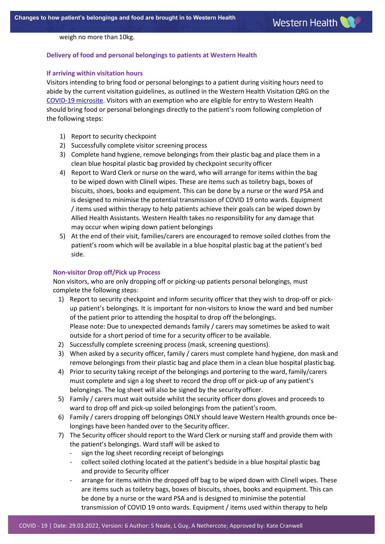weigh no more than 10kg.

# **Delivery of food and personal belongings to patients at Western Health**

#### **If arriving within visitation hours**

Visitors intending to bring food or personal belongings to a patient during visiting hours need to abide by the current visitation guidelines, as outlined in the Western Health Visitation QRG on the [COVID-19 microsite.](https://coronavirus.wh.org.au/quick-reference-guides/) Visitors with an exemption who are eligible for entry to Western Health should bring food or personal belongings directly to the patient's room following completion of the following steps:

- 1) Report to security checkpoint
- 2) Successfully complete visitor screening process
- 3) Complete hand hygiene, remove belongings from their plastic bag and place them in a clean blue hospital plastic bag provided by checkpoint security officer
- 4) Report to Ward Clerk or nurse on the ward, who will arrange for items within the bag to be wiped down with Clinell wipes. These are items such as toiletry bags, boxes of biscuits, shoes, books and equipment. This can be done by a nurse or the ward PSA and is designed to minimise the potential transmission of COVID 19 onto wards. Equipment / items used within therapy to help patients achieve their goals can be wiped down by Allied Health Assistants. Western Health takes no responsibility for any damage that may occur when wiping down patient belongings
- 5) At the end of their visit, families/carers are encouraged to remove soiled clothes from the patient's room which will be available in a blue hospital plastic bag at the patient's bed side.

#### **Non-visitor Drop off/Pick up Process**

Non visitors, who are only dropping off or picking-up patients personal belongings, must complete the following steps:

- 1) Report to security checkpoint and inform security officer that they wish to drop-off or pickup patient's belongings. It is important for non-visitors to know the ward and bed number of the patient prior to attending the hospital to drop off the belongings. Please note: Due to unexpected demands family / carers may sometimes be asked to wait outside for a short period of time for a security officer to be available.
- 2) Successfully complete screening process (mask, screening questions).
- 3) When asked by a security officer, family / carers must complete hand hygiene, don mask and remove belongings from their plastic bag and place them in a clean blue hospital plasticbag.
- 4) Prior to security taking receipt of the belongings and portering to the ward, family/carers must complete and sign a log sheet to record the drop off or pick-up of any patient's belongings. The log sheet will also be signed by the security officer.
- 5) Family / carers must wait outside whilst the security officer dons gloves and proceeds to ward to drop off and pick-up soiled belongings from the patient's room.
- 6) Family / carers dropping off belongings ONLY should leave Western Health grounds once belongings have been handed over to the Security officer.
- 7) The Security officer should report to the Ward Clerk or nursing staff and provide them with the patient's belongings. Ward staff will be asked to
	- sign the log sheet recording receipt of belongings
	- collect soiled clothing located at the patient's bedside in a blue hospital plastic bag and provide to Security officer
	- arrange for items within the dropped off bag to be wiped down with Clinell wipes. These are items such as toiletry bags, boxes of biscuits, shoes, books and equipment. This can be done by a nurse or the ward PSA and is designed to minimise the potential transmission of COVID 19 onto wards. Equipment / items used within therapy to help